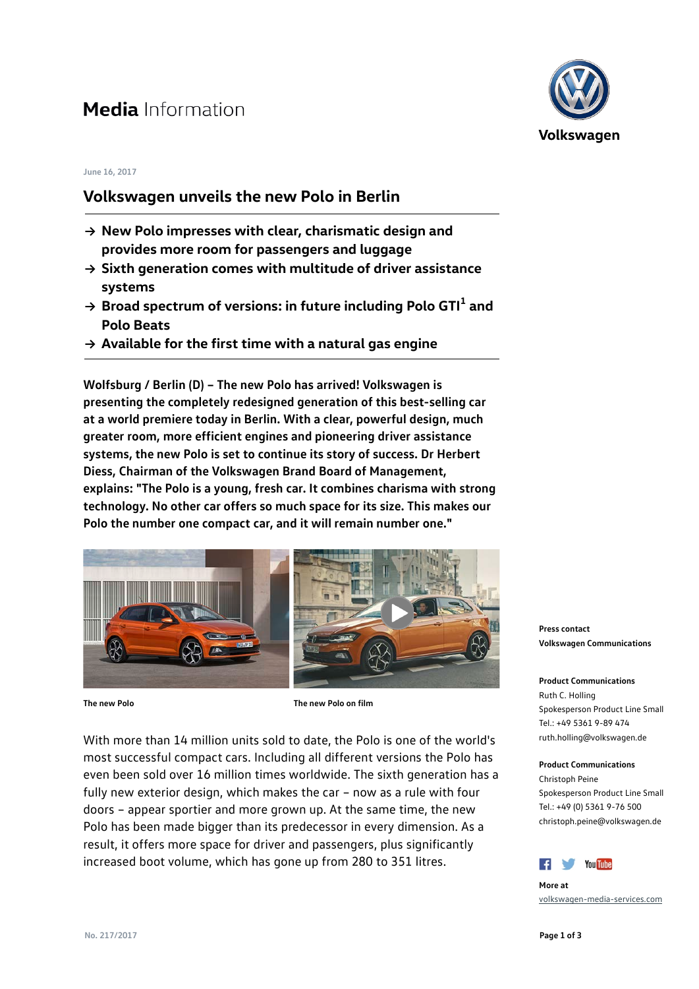# **Media** Information

#### **June 16, 2017**

### **Volkswagen unveils the new Polo in Berlin**

- **→ New Polo impresses with clear, charismatic design and provides more room for passengers and luggage**
- **→ Sixth generation comes with multitude of driver assistance systems**
- **<sup>→</sup> Broad spectrum of versions: in future including Polo GTI<sup>1</sup> and Polo Beats**
- **→ Available for the first time with a natural gas engine**

**Wolfsburg / Berlin (D) – The new Polo has arrived! Volkswagen is presenting the completely redesigned generation of this best-selling car at a world premiere today in Berlin. With a clear, powerful design, much greater room, more efficient engines and pioneering driver assistance systems, the new Polo is set to continue its story of success. Dr Herbert Diess, Chairman of the Volkswagen Brand Board of Management, explains: "The Polo is a young, fresh car. It combines charisma with strong technology. No other car offers so much space for its size. This makes our Polo the number one compact car, and it will remain number one."** 



**The new Polo The new Polo on film**

With more than 14 million units sold to date, the Polo is one of the world's most successful compact cars. Including all different versions the Polo has even been sold over 16 million times worldwide. The sixth generation has a fully new exterior design, which makes the car – now as a rule with four doors – appear sportier and more grown up. At the same time, the new Polo has been made bigger than its predecessor in every dimension. As a result, it offers more space for driver and passengers, plus significantly increased boot volume, which has gone up from 280 to 351 litres.



**Press contact Volkswagen Communications**

**Product Communications** Ruth C. Holling Spokesperson Product Line Small Tel.: +49 5361 9-89 474 ruth.holling@volkswagen.de

### **Product Communications**

Christoph Peine Spokesperson Product Line Small Tel.: +49 (0) 5361 9-76 500 christoph.peine@volkswagen.de



**More at** [volkswagen-media-services.com](https://www.volkswagen-media-services.com/)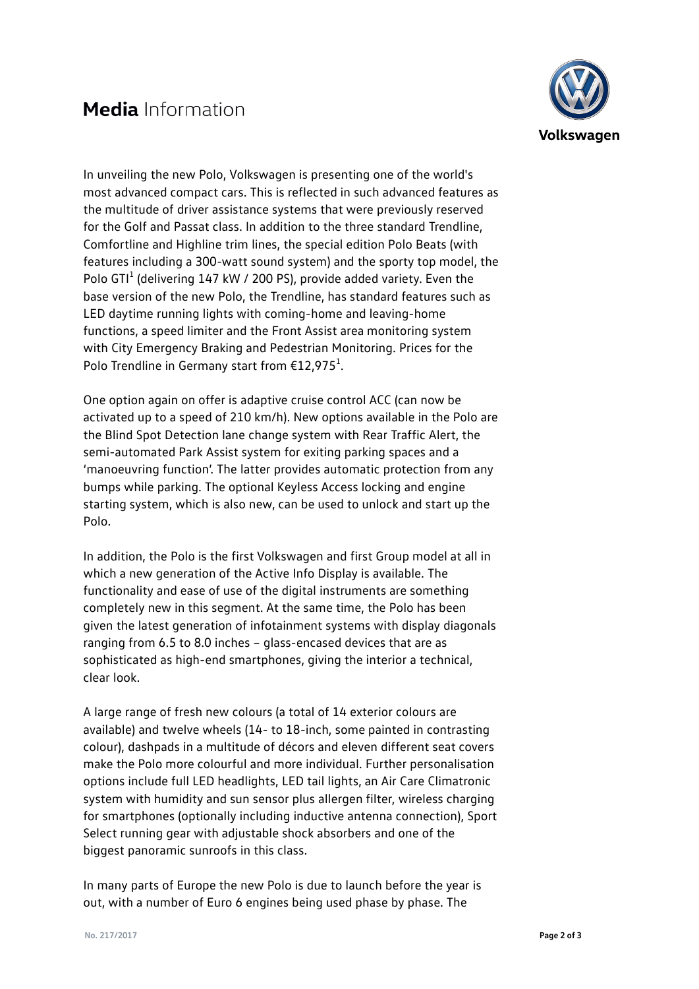## **Media** Information



In unveiling the new Polo, Volkswagen is presenting one of the world's most advanced compact cars. This is reflected in such advanced features as the multitude of driver assistance systems that were previously reserved for the Golf and Passat class. In addition to the three standard Trendline, Comfortline and Highline trim lines, the special edition Polo Beats (with features including a 300-watt sound system) and the sporty top model, the Polo GTI<sup>1</sup> (delivering 147 kW / 200 PS), provide added variety. Even the base version of the new Polo, the Trendline, has standard features such as LED daytime running lights with coming-home and leaving-home functions, a speed limiter and the Front Assist area monitoring system with City Emergency Braking and Pedestrian Monitoring. Prices for the Polo Trendline in Germany start from  $\text{\large\ensuremath{\epsilon}} 12,975^1$ .

One option again on offer is adaptive cruise control ACC (can now be activated up to a speed of 210 km/h). New options available in the Polo are the Blind Spot Detection lane change system with Rear Traffic Alert, the semi-automated Park Assist system for exiting parking spaces and a 'manoeuvring function'. The latter provides automatic protection from any bumps while parking. The optional Keyless Access locking and engine starting system, which is also new, can be used to unlock and start up the Polo.

In addition, the Polo is the first Volkswagen and first Group model at all in which a new generation of the Active Info Display is available. The functionality and ease of use of the digital instruments are something completely new in this segment. At the same time, the Polo has been given the latest generation of infotainment systems with display diagonals ranging from 6.5 to 8.0 inches – glass-encased devices that are as sophisticated as high-end smartphones, giving the interior a technical, clear look.

A large range of fresh new colours (a total of 14 exterior colours are available) and twelve wheels (14- to 18-inch, some painted in contrasting colour), dashpads in a multitude of décors and eleven different seat covers make the Polo more colourful and more individual. Further personalisation options include full LED headlights, LED tail lights, an Air Care Climatronic system with humidity and sun sensor plus allergen filter, wireless charging for smartphones (optionally including inductive antenna connection), Sport Select running gear with adjustable shock absorbers and one of the biggest panoramic sunroofs in this class.

In many parts of Europe the new Polo is due to launch before the year is out, with a number of Euro 6 engines being used phase by phase. The